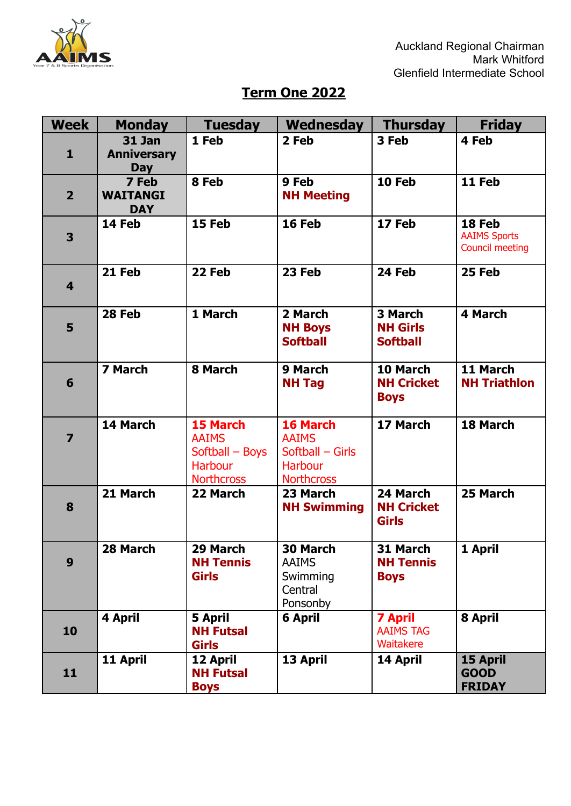

## **Term One 2022**

| <b>Week</b>             | <b>Monday</b>                                     | <b>Tuesday</b>                                                                     | Wednesday                                                                           | <b>Thursday</b>                                 | <b>Friday</b>                                           |
|-------------------------|---------------------------------------------------|------------------------------------------------------------------------------------|-------------------------------------------------------------------------------------|-------------------------------------------------|---------------------------------------------------------|
| $\mathbf{1}$            | <b>31 Jan</b><br><b>Anniversary</b><br><b>Day</b> | 1 Feb                                                                              | 2 Feb                                                                               | 3 Feb                                           | 4 Feb                                                   |
| $\overline{2}$          | 7 Feb<br><b>WAITANGI</b><br><b>DAY</b>            | 8 Feb                                                                              | 9 Feb<br><b>NH Meeting</b>                                                          | 10 Feb                                          | 11 Feb                                                  |
| 3                       | 14 Feb                                            | 15 Feb                                                                             | 16 Feb                                                                              | 17 Feb                                          | 18 Feb<br><b>AAIMS Sports</b><br><b>Council meeting</b> |
| 4                       | 21 Feb                                            | 22 Feb                                                                             | 23 Feb                                                                              | 24 Feb                                          | 25 Feb                                                  |
| 5                       | 28 Feb                                            | 1 March                                                                            | 2 March<br><b>NH Boys</b><br><b>Softball</b>                                        | 3 March<br><b>NH Girls</b><br><b>Softball</b>   | <b>4 March</b>                                          |
| 6                       | 7 March                                           | 8 March                                                                            | 9 March<br><b>NH Tag</b>                                                            | 10 March<br><b>NH Cricket</b><br><b>Boys</b>    | 11 March<br><b>NH Triathlon</b>                         |
| $\overline{\mathbf{z}}$ | 14 March                                          | 15 March<br><b>AAIMS</b><br>Softball - Boys<br><b>Harbour</b><br><b>Northcross</b> | 16 March<br><b>AAIMS</b><br>Softball - Girls<br><b>Harbour</b><br><b>Northcross</b> | 17 March                                        | 18 March                                                |
| 8                       | 21 March                                          | 22 March                                                                           | 23 March<br><b>NH Swimming</b>                                                      | 24 March<br><b>NH Cricket</b><br><b>Girls</b>   | 25 March                                                |
| 9                       | 28 March                                          | 29 March<br><b>NH Tennis</b><br><b>Girls</b>                                       | 30 March<br><b>AAIMS</b><br>Swimming<br>Central<br>Ponsonby                         | 31 March<br><b>NH Tennis</b><br><b>Boys</b>     | 1 April                                                 |
| 10                      | 4 April                                           | <b>5 April</b><br><b>NH Futsal</b><br><b>Girls</b>                                 | <b>6 April</b>                                                                      | <b>7 April</b><br><b>AAIMS TAG</b><br>Waitakere | 8 April                                                 |
| 11                      | 11 April                                          | 12 April<br><b>NH Futsal</b><br><b>Boys</b>                                        | 13 April                                                                            | 14 April                                        | 15 April<br><b>GOOD</b><br><b>FRIDAY</b>                |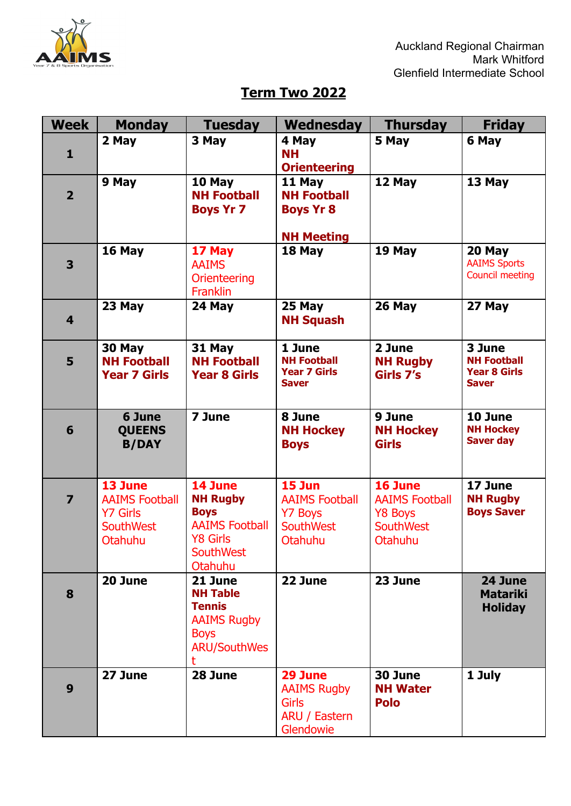

## **Term Two 2022**

| <b>Week</b>             | <b>Monday</b>                       | <b>Tuesday</b>                     | Wednesday                                 | <b>Thursday</b>                    | <b>Friday</b>                        |
|-------------------------|-------------------------------------|------------------------------------|-------------------------------------------|------------------------------------|--------------------------------------|
|                         | 2 May                               | 3 May                              | 4 May                                     | 5 May                              | 6 May                                |
| $\mathbf{1}$            |                                     |                                    | <b>NH</b>                                 |                                    |                                      |
|                         | 9 May                               | 10 May                             | <b>Orienteering</b><br>11 May             | 12 May                             | 13 May                               |
| $\overline{2}$          |                                     | <b>NH Football</b>                 | <b>NH Football</b>                        |                                    |                                      |
|                         |                                     | <b>Boys Yr 7</b>                   | <b>Boys Yr 8</b>                          |                                    |                                      |
|                         |                                     |                                    |                                           |                                    |                                      |
|                         |                                     |                                    | <b>NH Meeting</b>                         |                                    |                                      |
| 3                       | 16 May                              | 17 May<br><b>AAIMS</b>             | 18 May                                    | 19 May                             | 20 May<br><b>AAIMS Sports</b>        |
|                         |                                     | Orienteering                       |                                           |                                    | <b>Council meeting</b>               |
|                         |                                     | <b>Franklin</b>                    |                                           |                                    |                                      |
|                         | 23 May                              | 24 May                             | 25 May                                    | 26 May                             | 27 May                               |
| $\overline{\mathbf{4}}$ |                                     |                                    | <b>NH Squash</b>                          |                                    |                                      |
|                         | 30 May                              | 31 May                             | 1 June                                    | 2 June                             | 3 June                               |
| 5                       | <b>NH Football</b>                  | <b>NH Football</b>                 | <b>NH Football</b><br><b>Year 7 Girls</b> | <b>NH Rugby</b>                    | <b>NH Football</b>                   |
|                         | <b>Year 7 Girls</b>                 | <b>Year 8 Girls</b>                | <b>Saver</b>                              | Girls 7's                          | <b>Year 8 Girls</b><br><b>Saver</b>  |
|                         |                                     |                                    |                                           |                                    |                                      |
|                         | 6 June                              | 7 June                             | 8 June                                    | 9 June                             | 10 June                              |
| 6                       | <b>QUEENS</b>                       |                                    | <b>NH Hockey</b>                          | <b>NH Hockey</b>                   | <b>NH Hockey</b><br><b>Saver day</b> |
|                         | <b>B/DAY</b>                        |                                    | <b>Boys</b>                               | <b>Girls</b>                       |                                      |
|                         |                                     |                                    |                                           |                                    |                                      |
|                         | 13 June                             | 14 June                            | 15 Jun                                    | 16 June                            | 17 June                              |
| $\overline{\mathbf{z}}$ | <b>AAIMS Football</b>               | <b>NH Rugby</b><br><b>Boys</b>     | <b>AAIMS Football</b>                     | <b>AAIMS Football</b>              | <b>NH Rugby</b><br><b>Boys Saver</b> |
|                         | <b>Y7 Girls</b><br><b>SouthWest</b> | <b>AAIMS Football</b>              | <b>Y7 Boys</b><br><b>SouthWest</b>        | <b>Y8 Boys</b><br><b>SouthWest</b> |                                      |
|                         | <b>Otahuhu</b>                      | <b>Y8 Girls</b>                    | Otahuhu                                   | Otahuhu                            |                                      |
|                         |                                     | <b>SouthWest</b>                   |                                           |                                    |                                      |
|                         | 20 June                             | Otahuhu<br>21 June                 | 22 June                                   | 23 June                            | 24 June                              |
| 8                       |                                     | <b>NH Table</b>                    |                                           |                                    | <b>Matariki</b>                      |
|                         |                                     | <b>Tennis</b>                      |                                           |                                    | <b>Holiday</b>                       |
|                         |                                     | <b>AAIMS Rugby</b>                 |                                           |                                    |                                      |
|                         |                                     | <b>Boys</b><br><b>ARU/SouthWes</b> |                                           |                                    |                                      |
|                         |                                     |                                    |                                           |                                    |                                      |
|                         | 27 June                             | 28 June                            | 29 June                                   | 30 June                            | 1 July                               |
| 9                       |                                     |                                    | <b>AAIMS Rugby</b>                        | <b>NH Water</b>                    |                                      |
|                         |                                     |                                    | <b>Girls</b><br>ARU / Eastern             | <b>Polo</b>                        |                                      |
|                         |                                     |                                    | Glendowie                                 |                                    |                                      |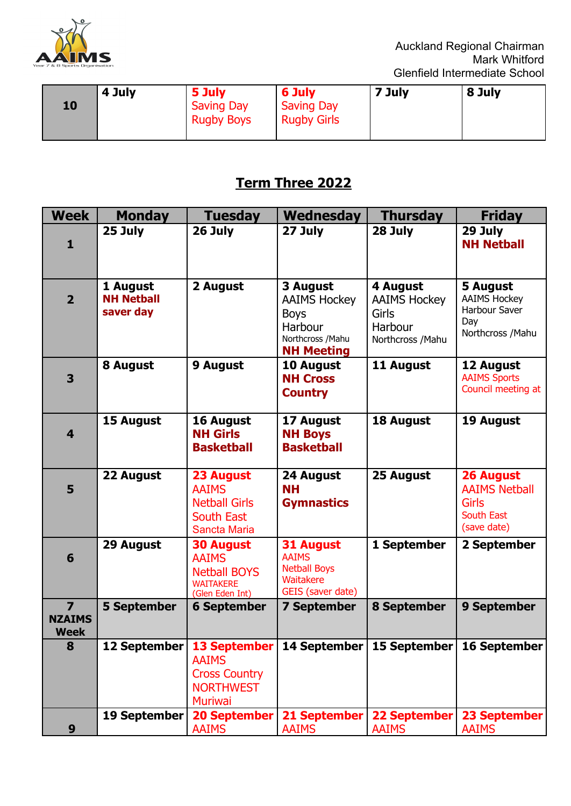

|    | 4 July | 5 July                                 | 6 July                                  | 7 July | 8 July |
|----|--------|----------------------------------------|-----------------------------------------|--------|--------|
| 10 |        | <b>Saving Day</b><br><b>Rugby Boys</b> | <b>Saving Day</b><br><b>Rugby Girls</b> |        |        |
|    |        |                                        |                                         |        |        |

## **Term Three 2022**

| <b>Week</b>                                             | <b>Monday</b>                              | <b>Tuesday</b>                                                                                    | Wednesday                                                                                           | <b>Thursday</b>                                                                 | <b>Friday</b>                                                                         |
|---------------------------------------------------------|--------------------------------------------|---------------------------------------------------------------------------------------------------|-----------------------------------------------------------------------------------------------------|---------------------------------------------------------------------------------|---------------------------------------------------------------------------------------|
| 1                                                       | 25 July                                    | 26 July                                                                                           | 27 July                                                                                             | 28 July                                                                         | 29 July<br><b>NH Netball</b>                                                          |
| $\overline{2}$                                          | 1 August<br><b>NH Netball</b><br>saver day | 2 August                                                                                          | 3 August<br><b>AAIMS Hockey</b><br><b>Boys</b><br>Harbour<br>Northcross / Mahu<br><b>NH Meeting</b> | 4 August<br><b>AAIMS Hockey</b><br><b>Girls</b><br>Harbour<br>Northcross / Mahu | 5 August<br><b>AAIMS Hockey</b><br>Harbour Saver<br>Day<br>Northcross / Mahu          |
| 3                                                       | 8 August                                   | 9 August                                                                                          | 10 August<br><b>NH Cross</b><br><b>Country</b>                                                      | 11 August                                                                       | 12 August<br><b>AAIMS Sports</b><br>Council meeting at                                |
| 4                                                       | 15 August                                  | 16 August<br><b>NH Girls</b><br><b>Basketball</b>                                                 | 17 August<br><b>NH Boys</b><br><b>Basketball</b>                                                    | 18 August                                                                       | 19 August                                                                             |
| 5                                                       | 22 August                                  | 23 August<br><b>AAIMS</b><br><b>Netball Girls</b><br>South East<br>Sancta Maria                   | 24 August<br><b>NH</b><br><b>Gymnastics</b>                                                         | 25 August                                                                       | <b>26 August</b><br><b>AAIMS Netball</b><br><b>Girls</b><br>South East<br>(save date) |
| 6                                                       | 29 August                                  | <b>30 August</b><br><b>AAIMS</b><br><b>Netball BOYS</b><br><b>WAITAKERE</b><br>(Glen Eden Int)    | <b>31 August</b><br><b>AAIMS</b><br><b>Netball Boys</b><br>Waitakere<br>GEIS (saver date)           | 1 September                                                                     | 2 September                                                                           |
| $\overline{\mathbf{z}}$<br><b>NZAIMS</b><br><b>Week</b> | <b>5 September</b>                         | <b>6 September</b>                                                                                | <b>7 September</b>                                                                                  | <b>8 September</b>                                                              | 9 September                                                                           |
| 8                                                       | 12 September                               | <b>13 September</b><br><b>AAIMS</b><br><b>Cross Country</b><br><b>NORTHWEST</b><br><b>Muriwai</b> | 14 September                                                                                        | 15 September                                                                    | 16 September                                                                          |
| 9                                                       | 19 September                               | <b>20 September</b><br><b>AAIMS</b>                                                               | 21 September<br><b>AAIMS</b>                                                                        | <b>22 September</b><br><b>AAIMS</b>                                             | 23 September<br><b>AAIMS</b>                                                          |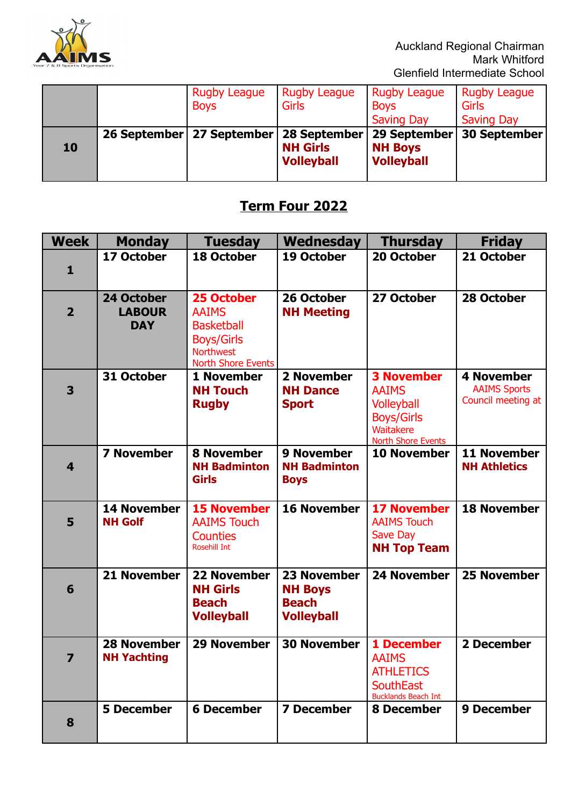

|    | <b>Rugby League</b><br><b>Boys</b> | <b>Rugby League</b><br>Girls                         | <b>Rugby League</b><br><b>Boys</b><br><b>Saving Day</b> | <b>Rugby League</b><br><b>Girls</b><br><b>Saving Day</b> |
|----|------------------------------------|------------------------------------------------------|---------------------------------------------------------|----------------------------------------------------------|
| 10 | 26 September   27 September        | 28 September<br><b>NH Girls</b><br><b>Volleyball</b> | 29 September<br><b>NH Boys</b><br><b>Volleyball</b>     | <b>30 September</b>                                      |

## **Term Four 2022**

| <b>Week</b>    | <b>Monday</b>                             | <b>Tuesday</b>                                                                                                        | Wednesday                                                                 | <b>Thursday</b>                                                                                                       | <b>Friday</b>                                                  |
|----------------|-------------------------------------------|-----------------------------------------------------------------------------------------------------------------------|---------------------------------------------------------------------------|-----------------------------------------------------------------------------------------------------------------------|----------------------------------------------------------------|
| $\mathbf{1}$   | 17 October                                | <b>18 October</b>                                                                                                     | 19 October                                                                | 20 October                                                                                                            | 21 October                                                     |
| $\overline{2}$ | 24 October<br><b>LABOUR</b><br><b>DAY</b> | 25 October<br><b>AAIMS</b><br><b>Basketball</b><br><b>Boys/Girls</b><br><b>Northwest</b><br><b>North Shore Events</b> | 26 October<br><b>NH Meeting</b>                                           | 27 October                                                                                                            | 28 October                                                     |
| 3              | 31 October                                | 1 November<br><b>NH Touch</b><br><b>Rugby</b>                                                                         | 2 November<br><b>NH Dance</b><br><b>Sport</b>                             | <b>3 November</b><br><b>AAIMS</b><br><b>Volleyball</b><br><b>Boys/Girls</b><br>Waitakere<br><b>North Shore Events</b> | <b>4 November</b><br><b>AAIMS Sports</b><br>Council meeting at |
| 4              | <b>7 November</b>                         | <b>8 November</b><br><b>NH Badminton</b><br><b>Girls</b>                                                              | <b>9 November</b><br><b>NH Badminton</b><br><b>Boys</b>                   | 10 November                                                                                                           | 11 November<br><b>NH Athletics</b>                             |
| 5              | <b>14 November</b><br><b>NH Golf</b>      | <b>15 November</b><br><b>AAIMS Touch</b><br><b>Counties</b><br><b>Rosehill Int</b>                                    | <b>16 November</b>                                                        | <b>17 November</b><br><b>AAIMS Touch</b><br>Save Day<br><b>NH Top Team</b>                                            | <b>18 November</b>                                             |
| 6              | 21 November                               | <b>22 November</b><br><b>NH Girls</b><br><b>Beach</b><br><b>Volleyball</b>                                            | <b>23 November</b><br><b>NH Boys</b><br><b>Beach</b><br><b>Volleyball</b> | <b>24 November</b>                                                                                                    | <b>25 November</b>                                             |
| 7              | <b>28 November</b><br><b>NH Yachting</b>  | <b>29 November</b>                                                                                                    | <b>30 November</b>                                                        | 1 December<br><b>AAIMS</b><br><b>ATHLETICS</b><br><b>SouthEast</b><br><b>Bucklands Beach Int</b>                      | 2 December                                                     |
| 8              | <b>5 December</b>                         | <b>6 December</b>                                                                                                     | <b>7 December</b>                                                         | 8 December                                                                                                            | 9 December                                                     |